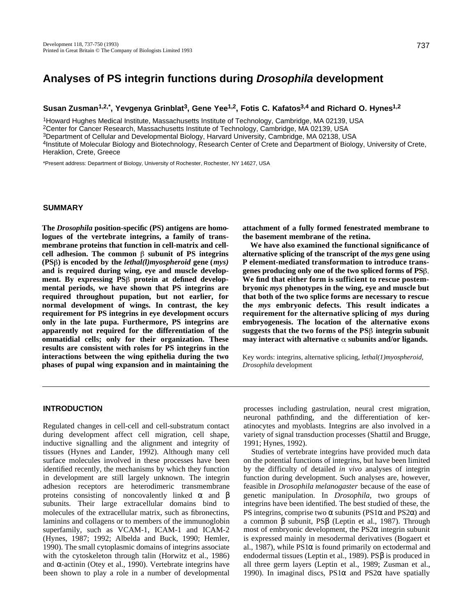# **Analyses of PS integrin functions during Drosophila development**

**Susan Zusman1,2,\*, Yevgenya Grinblat3, Gene Yee1,2, Fotis C. Kafatos3,4 and Richard O. Hynes1,2**

<sup>1</sup>Howard Hughes Medical Institute, Massachusetts Institute of Technology, Cambridge, MA 02139, USA

<sup>2</sup>Center for Cancer Research, Massachusetts Institute of Technology, Cambridge, MA 02139, USA

<sup>3</sup>Department of Cellular and Developmental Biology, Harvard University, Cambridge, MA 02138, USA

<sup>4</sup>Institute of Molecular Biology and Biotechnology, Research Center of Crete and Department of Biology, University of Crete, Heraklion, Crete, Greece

\*Present address: Department of Biology, University of Rochester, Rochester, NY 14627, USA

## **SUMMARY**

**The** *Drosophila* **position-specific (PS) antigens are homologues of the vertebrate integrins, a family of transmembrane proteins that function in cell-matrix and cell**cell adhesion. The common  $\beta$  subunit of PS integrins **(PS ) is encoded by the** *lethal(l)myospheroid* **gene (***mys)* **and is required during wing, eye and muscle develop**ment. By expressing PS<sup> $\beta$ </sup> protein at defined develop**mental periods, we have shown that PS integrins are required throughout pupation, but not earlier, for normal development of wings. In contrast, the key requirement for PS integrins in eye development occurs only in the late pupa. Furthermore, PS integrins are apparently not required for the differentiation of the ommatidial cells; only for their organization. These results are consistent with roles for PS integrins in the interactions between the wing epithelia during the two phases of pupal wing expansion and in maintaining the** **attachment of a fully formed fenestrated membrane to the basement membrane of the retina.** 

**We have also examined the functional significance of alternative splicing of the transcript of the** *mys* **gene using P element-mediated transformation to introduce transgenes producing only one of the two spliced forms of PS We find that either form is sufficient to rescue postembryonic** *mys* **phenotypes in the wing, eye and muscle but that both of the two splice forms are necessary to rescue the** *m y s* **embryonic defects. This result indicates a requirement for the alternative splicing of** *mys* **during embryogenesis. The location of the alternative exons** suggests that the two forms of the PS<sup>β</sup> integrin subunit may interact with alternative  $\alpha$  subunits and/or ligands.

Key words: integrins, alternative splicing, *lethal(1)myospheroid, Drosophila* development

## **INTRODUCTION**

Regulated changes in cell-cell and cell-substratum contact during development affect cell migration, cell shape, inductive signalling and the alignment and integrity of tissues (Hynes and Lander, 1992). Although many cell surface molecules involved in these processes have been identified recently, the mechanisms by which they function in development are still largely unknown. The integrin adhesion receptors are heterodimeric transmembrane proteins consisting of noncovalently linked and subunits. Their large extracellular domains bind to molecules of the extracellular matrix, such as fibronectins, laminins and collagens or to members of the immunoglobin superfamily, such as VCAM-1, ICAM-1 and ICAM-2 (Hynes, 1987; 1992; Albelda and Buck, 1990; Hemler, 1990). The small cytoplasmic domains of integrins associate with the cytoskeleton through talin (Horwitz et al., 1986) and -actinin (Otey et al., 1990). Vertebrate integrins have been shown to play a role in a number of developmental

processes including gastrulation, neural crest migration, neuronal pathfinding, and the differentiation of keratinocytes and myoblasts. Integrins are also involved in a variety of signal transduction processes (Shattil and Brugge, 1991; Hynes, 1992).

Studies of vertebrate integrins have provided much data on the potential functions of integrins, but have been limited by the difficulty of detailed *in vivo* analyses of integrin function during development. Such analyses are, however, feasible in *Drosophila melanogaster* because of the ease of genetic manipulation. In *Drosophila*, two groups of integrins have been identified. The best studied of these, the PS integrins, comprise two subunits (PS1 and PS2 ) and a common subunit, PS (Leptin et al., 1987). Through most of embryonic development, the PS2 integrin subunit is expressed mainly in mesodermal derivatives (Bogaert et al., 1987), while PS1 is found primarily on ectodermal and endodermal tissues (Leptin et al., 1989). PS is produced in all three germ layers (Leptin et al., 1989; Zusman et al., 1990). In imaginal discs, PS1 and PS2 have spatially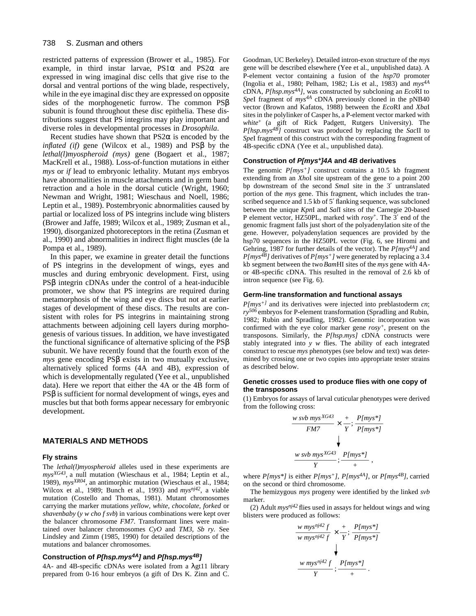restricted patterns of expression (Brower et al., 1985). For example, in third instar larvae, PS1 and PS2 are expressed in wing imaginal disc cells that give rise to the dorsal and ventral portions of the wing blade, respectively, while in the eye imaginal disc they are expressed on opposite sides of the morphogenetic furrow. The common PS subunit is found throughout these disc epithelia. These distributions suggest that PS integrins may play important and diverse roles in developmental processes in *Drosophila*.

Recent studies have shown that PS2 is encoded by the *inflated (if)* gene (Wilcox et al., 1989) and PS by the *lethal(l)myospheroid (mys)* gene (Bogaert et al., 1987; MacKrell et al., 1988). Loss-of-function mutations in either *mys* or *if* lead to embryonic lethality. Mutant *mys* embryos have abnormalities in muscle attachments and in germ band retraction and a hole in the dorsal cuticle (Wright, 1960; Newman and Wright, 1981; Wieschaus and Noell, 1986; Leptin et al., 1989). Postembryonic abnormalities caused by partial or localized loss of PS integrins include wing blisters (Brower and Jaffe, 1989; Wilcox et al., 1989; Zusman et al., 1990), disorganized photoreceptors in the retina (Zusman et al., 1990) and abnormalities in indirect flight muscles (de la Pompa et al., 1989).

In this paper, we examine in greater detail the functions of PS integrins in the development of wings, eyes and muscles and during embryonic development. First, using PS integrin cDNAs under the control of a heat-inducible promoter, we show that PS integrins are required during metamorphosis of the wing and eye discs but not at earlier stages of development of these discs. The results are consistent with roles for PS integrins in maintaining strong attachments between adjoining cell layers during morphogenesis of various tissues. In addition, we have investigated the functional significance of alternative splicing of the PS subunit. We have recently found that the fourth exon of the *mys* gene encoding PS exists in two mutually exclusive, alternatively spliced forms (4A and 4B), expression of which is developmentally regulated (Yee et al., unpublished data). Here we report that either the 4A or the 4B form of PS is sufficient for normal development of wings, eyes and muscles but that both forms appear necessary for embryonic development.

## **MATERIALS AND METHODS**

#### **Fly strains**

The *lethal(l)myospheroid* alleles used in these experiments are *mysXG43* , a null mutation (Wieschaus et al., 1984; Leptin et al., 1989), *mysXR04*, an antimorphic mutation (Wieschaus et al., 1984; Wilcox et al., 1989; Bunch et al., 1993) and *mysnj42*, a viable mutation (Costello and Thomas, 1981). Mutant chromosomes carrying the marker mutations *yellow, white, chocolate, forked* or *shavenbaby* (*y w cho f svb*) in various combinations were kept over the balancer chromosome *FM7*. Transformant lines were maintained over balancer chromosomes *CyO* and *TM3, Sb ry.* See Lindsley and Zimm (1985, 1990) for detailed descriptions of the mutations and balancer chromosomes.

## **Construction of P[hsp.mys4A] and P[hsp.mys4B]**

4A- and 4B-specific cDNAs were isolated from a gt11 library prepared from 0-16 hour embryos (a gift of Drs K. Zinn and C. Goodman, UC Berkeley). Detailed intron-exon structure of the *mys* gene will be described elsewhere (Yee et al., unpublished data). A P-element vector containing a fusion of the *hsp70* promoter (Ingolia et al., 1980; Pelham, 1982; Lis et al., 1983) and *mys4A* cDNA, *P[hsp.mys4A]*, was constructed by subcloning an *Eco*RI to *Spe*I fragment of *mys4A* cDNA previously cloned in the pNB40 vector (Brown and Kafatos, 1988) between the *Eco*RI and *Xba*I sites in the polylinker of Casper hs, a P-element vector marked with *white*<sup>+</sup> (a gift of Rick Padgett, Rutgers University). The *P[hsp.mys4B]* construct was produced by replacing the *Sac*II to *Spe*I fragment of this construct with the corresponding fragment of 4B-specific cDNA (Yee et al., unpublished data).

#### **Construction of P[mys+]4A and 4B derivatives**

The genomic *P[mys+]* construct contains a 10.5 kb fragment extending from an *Xho*I site upstream of the gene to a point 200 bp downstream of the second *Sma*I site in the 3 untranslated portion of the *mys* gene. This fragment, which includes the transcribed sequence and 1.5 kb of 5 flanking sequence, was subcloned between the unique *Kpn*I and *Sal*I sites of the Carnegie 20-based P element vector, HZ50PL, marked with *rosy*+. The 3 end of the genomic fragment falls just short of the polyadenylation site of the gene. However, polyadenylation sequences are provided by the hsp70 sequences in the HZ50PL vector (Fig. 6, see Hiromi and Gehring, 1987 for further details of the vector). The *P[mys4A]* and *P[mys4B]* derivatives of *P[mys+]* were generated by replacing a 3.4 kb segment between the two *Bam*HI sites of the *mys* gene with 4Aor 4B-specific cDNA. This resulted in the removal of 2.6 kb of intron sequence (see Fig. 6).

## **Germ-line transformation and functional assays**

*P[mys+]* and its derivatives were injected into preblastoderm *cn*; *ry506* embryos for P-element transformation (Spradling and Rubin, 1982; Rubin and Spradling, 1982). Genomic incorporation was confirmed with the eye color marker gene *rosy+*, present on the transposons. Similarly, the *P[hsp.mys]* cDNA constructs were stably integrated into *y w* flies. The ability of each integrated construct to rescue *mys* phenotypes (see below and text) was determined by crossing one or two copies into appropriate tester strains as described below.

#### **Genetic crosses used to produce flies with one copy of the transposons**

(1) Embryos for assays of larval cuticular phenotypes were derived from the following cross:

$$
\frac{w \, svb \, mys^{XG43}}{FM7} \times \frac{+}{Y}; \frac{Plmys*J}{Plmys*J}
$$
\n
$$
\frac{w \, svb \, mys^{XG43}}{Y}; \frac{Plmys*J}{+},
$$

where *P[mys\*]* is either *P[mys+]*, *P[mys4A]*, or *P[mys4B]*, carried on the second or third chromosome.

The hemizygous *mys* progeny were identified by the linked *svb* marker.

(2) Adult *mysnj42* flies used in assays for heldout wings and wing blisters were produced as follows:

$$
\frac{w \, mys^{\eta j42} f}{w \, mys^{\eta j42} f} \times \frac{+}{Y}; \frac{P[mys^*]}{P[mys^*]} \quad \n\downarrow
$$
\n
$$
\frac{w \, mys^{\eta j42} f}{Y}; \frac{P[mys^*]}{+}.
$$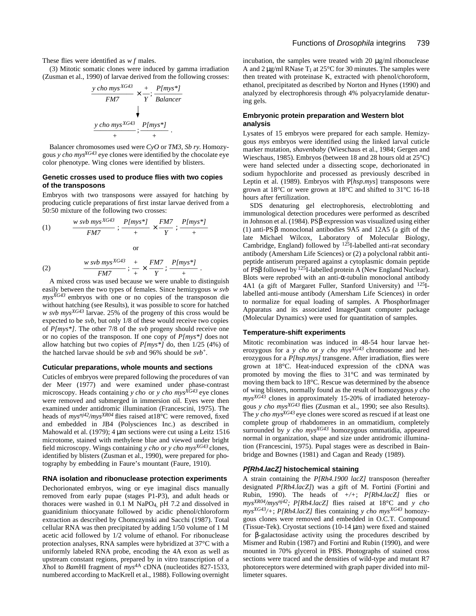These flies were identified as *w f* males.

(3) Mitotic somatic clones were induced by gamma irradiation (Zusman et al., 1990) of larvae derived from the following crosses:

$$
\frac{y \text{ cho } mys^{XG43}}{FM7} \times \frac{+}{Y}; \frac{Plmys^*l}{Balancer}
$$
\n
$$
\frac{y \text{ cho } mys^{XG43}}{+}; \frac{Plmys^*l}{+}.
$$

Balancer chromosomes used were *CyO* or *TM3, Sb ry.* Homozygous *y cho mysXG43* eye clones were identified by the chocolate eye color phenotype. Wing clones were identified by blisters.

#### **Genetic crosses used to produce flies with two copies of the transposons**

Embryos with two transposons were assayed for hatching by producing cuticle preparations of first instar larvae derived from a 50:50 mixture of the following two crosses:

(1) 
$$
\frac{w \text{ sub mys}^{XG43}}{FM7}; \frac{P[mys^{*}]}{+} \times \frac{FM7}{Y}; \frac{P[mys^{*}]}{+}
$$
or

(2) 
$$
\frac{w \text{ sub mys}^{XG43}}{FM7}; \frac{+}{+} \times \frac{FM7}{Y}; \frac{P[mys*]}{+}.
$$

A mixed cross was used because we were unable to distinguish easily between the two types of females. Since hemizygous *w svb mysXG43* embryos with one or no copies of the transposon die without hatching (see Results), it was possible to score for hatched *w svb mysXG43* larvae. 25% of the progeny of this cross would be expected to be *svb,* but only 1/8 of these would receive two copies of *P[mys\*]*. The other 7/8 of the *svb* progeny should receive one or no copies of the transposon. If one copy of *P[mys\*]* does not allow hatching but two copies of *P[mys\*]* do, then 1/25 (4%) of the hatched larvae should be *svb* and 96% should be *svb*+.

#### **Cuticular preparations, whole mounts and sections**

Cuticles of embryos were prepared following the procedures of van der Meer (1977) and were examined under phase-contrast microscopy. Heads containing *y cho* or *y cho mysXG43* eye clones were removed and submerged in immersion oil. Eyes were then examined under antidromic illumination (Francescini, 1975). The heads of *mysnj42/mysXR04* flies raised at18°C were removed, fixed and embedded in JB4 (Polysciences Inc.) as described in Mahowald et al. (1979); 4 μm sections were cut using a Leitz 1516 microtome, stained with methylene blue and viewed under bright field microscopy. Wings containing *y cho* or *y cho mysXG43* clones, identified by blisters (Zusman et al., 1990), were prepared for photography by embedding in Faure's mountant (Faure, 1910).

#### **RNA isolation and ribonuclease protection experiments**

Dechorionated embryos, wing or eye imaginal discs manually removed from early pupae (stages P1-P3), and adult heads or thoraces were washed in 0.1 M NaPO4, pH 7.2 and dissolved in guanidinium thiocyanate followed by acidic phenol/chloroform extraction as described by Chomczynski and Sacchi (1987). Total cellular RNA was then precipitated by adding 1/50 volume of 1 M acetic acid followed by 1/2 volume of ethanol. For ribonuclease protection analyses, RNA samples were hybridized at 37°C with a uniformly labeled RNA probe, encoding the 4A exon as well as upstream constant regions, prepared by in vitro transcription of a *Xho*I to *Bam*HI fragment of *mys*4A cDNA (nucleotides 827-1533, numbered according to MacKrell et al., 1988). Following overnight

incubation, the samples were treated with 20 μg/ml ribonuclease A and 2  $\mu$ g/ml RNase T<sub>1</sub> at 25°C for 30 minutes. The samples were then treated with proteinase K, extracted with phenol/choroform, ethanol, precipitated as described by Norton and Hynes (1990) and analyzed by electrophoresis through 4% polyacrylamide denaturing gels.

#### **Embryonic protein preparation and Western blot analysis**

Lysates of 15 embryos were prepared for each sample. Hemizygous *mys* embryos were identified using the linked larval cuticle marker mutation, *shavenbaby* (Wieschaus et al., 1984; Gergen and Wieschaus, 1985). Embryos (between 18 and 28 hours old at 25°C) were hand selected under a dissecting scope, dechorionated in sodium hypochlorite and processed as previously described in Leptin et al. (1989). Embryos with P[*hsp.mys*] transposons were grown at 18°C or were grown at 18°C and shifted to 31°C 16-18 hours after fertilization.

SDS denaturing gel electrophoresis, electroblotting and immunological detection procedures were performed as described in Johnson et al. (1984). PS expression was visualized using either (1) anti-PS monoclonal antibodies 9A5 and 12A5 (a gift of the late Michael Wilcox, Laboratory of Molecular Biology, Cambridge, England) followed by 125I-labelled anti-rat secondary antibody (Amersham Life Sciences) or (2) a polyclonal rabbit antipeptide antiserum prepared against a cytoplasmic domain peptide of PS followed by  $12\hat{5}$ I-labelled protein A (New England Nuclear). Blots were reprobed with an anti- -tubulin monoclonal antibody 4A1 (a gift of Margaret Fuller, Stanford University) and 125Ilabelled anti-mouse antibody (Amersham Life Sciences) in order to normalize for equal loading of samples. A PhosphorImager Apparatus and its associated ImageQuant computer package (Molecular Dynamics) were used for quantitation of samples.

## **Temperature-shift experiments**

Mitotic recombination was induced in 48-54 hour larvae heterozygous for a *y cho* or *y cho mysXG43* chromosome and heterozygous for a *P[hsp.mys]* transgene. After irradiation, flies were grown at 18°C. Heat-induced expression of the cDNA was promoted by moving the flies to 31°C and was terminated by moving them back to 18°C. Rescue was determined by the absence of wing blisters, normally found as the result of homozygous *y cho mysXG43* clones in approximately 15-20% of irradiated heterozygous *y cho mysXG43* flies (Zusman et al., 1990; see also Results). The *y cho mysXG43* eye clones were scored as rescued if at least one complete group of rhabdomeres in an ommatidium, completely surrounded by *y cho mys<sup>XG43</sup>* homozygous ommatidia, appeared normal in organization, shape and size under antidromic illumination (Francescini, 1975). Pupal stages were as described in Bainbridge and Bownes (1981) and Cagan and Ready (1989).

## **P[Rh4.lacZ] histochemical staining**

A strain containing the *P[Rh4.1900 lacZ]* transposon (hereafter designated *P[Rh4.lacZ]*) was a gift of M. Fortini (Fortini and Rubin, 1990). The heads of *+/+*; *P[Rh4.lacZ]* flies or *mysXR04/mysnj42; P[Rh4.lacZ]* flies raised at 18°C and *y cho mysXG43/+*; *P[Rh4.lacZ]* flies containing *y cho mysXG43* homozygous clones were removed and embedded in O.C.T. Compound (Tissue-Tek). Cryostat sections (10-14 μm) were fixed and stained for -galactosidase activity using the procedures described by Mismer and Rubin (1987) and Fortini and Rubin (1990), and were mounted in 70% glycerol in PBS. Photographs of stained cross sections were traced and the densities of wild-type and mutant R7 photoreceptors were determined with graph paper divided into millimeter squares.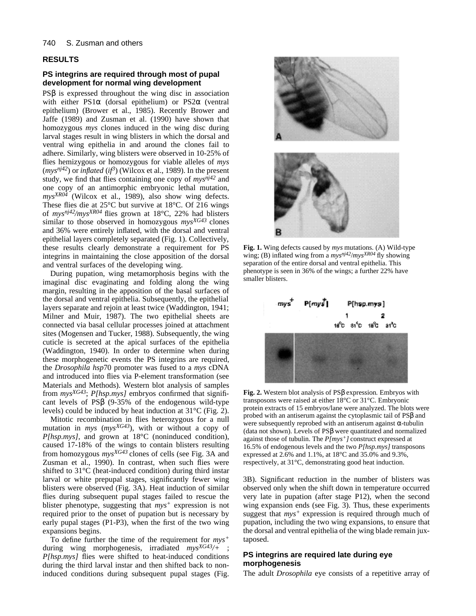## **RESULTS**

## **PS integrins are required through most of pupal development for normal wing development**

PS is expressed throughout the wing disc in association with either PS1 (dorsal epithelium) or PS2 (ventral epithelium) (Brower et al., 1985). Recently Brower and Jaffe (1989) and Zusman et al. (1990) have shown that homozygous *mys* clones induced in the wing disc during larval stages result in wing blisters in which the dorsal and ventral wing epithelia in and around the clones fail to adhere. Similarly, wing blisters were observed in 10-25% of flies hemizygous or homozygous for viable alleles of *mys*  $(mys<sup>nj42</sup>)$  or *inflated* (*if*<sup>3</sup>) (Wilcox et al., 1989). In the present study, we find that flies containing one copy of *mysnj42* and one copy of an antimorphic embryonic lethal mutation, *mysXR04* (Wilcox et al., 1989), also show wing defects. These flies die at 25°C but survive at 18°C. Of 216 wings of *mysnj42/mysXR04* flies grown at 18°C, 22% had blisters similar to those observed in homozygous *mysXG43* clones and 36% were entirely inflated, with the dorsal and ventral epithelial layers completely separated (Fig. 1). Collectively, these results clearly demonstrate a requirement for PS integrins in maintaining the close apposition of the dorsal and ventral surfaces of the developing wing.

During pupation, wing metamorphosis begins with the imaginal disc evaginating and folding along the wing margin, resulting in the apposition of the basal surfaces of the dorsal and ventral epithelia. Subsequently, the epithelial layers separate and rejoin at least twice (Waddington, 1941; Milner and Muir, 1987). The two epithelial sheets are connected via basal cellular processes joined at attachment sites (Mogensen and Tucker, 1988). Subsequently, the wing cuticle is secreted at the apical surfaces of the epithelia (Waddington, 1940). In order to determine when during these morphogenetic events the PS integrins are required, the *Drosophila hsp*70 promoter was fused to a *mys* cDNA and introduced into flies via P-element transformation (see Materials and Methods). Western blot analysis of samples from *mysXG43*; *P[hsp.mys]* embryos confirmed that significant levels of PS (9-35% of the endogenous wild-type levels) could be induced by heat induction at 31°C (Fig. 2).

Mitotic recombination in flies heterozygous for a null mutation in *mys* (*mysXG43*), with or without a copy of *P[hsp.mys],* and grown at 18°C (noninduced condition), caused 17-18% of the wings to contain blisters resulting from homozygous *mysXG43* clones of cells (see Fig. 3A and Zusman et al., 1990). In contrast, when such flies were shifted to 31°C (heat-induced condition) during third instar larval or white prepupal stages, significantly fewer wing blisters were observed (Fig. 3A). Heat induction of similar flies during subsequent pupal stages failed to rescue the blister phenotype, suggesting that *mys<sup>+</sup>* expression is not required prior to the onset of pupation but is necessary by early pupal stages (P1-P3), when the first of the two wing expansions begins.

To define further the time of the requirement for *mys<sup>+</sup>* during wing morphogenesis, irradiated *mysXG43/+* ; *P[hsp.mys]* flies were shifted to heat-induced conditions during the third larval instar and then shifted back to noninduced conditions during subsequent pupal stages (Fig.



**Fig. 1.** Wing defects caused by *mys* mutations. (A) Wild-type wing; (B) inflated wing from a *mysnj42*/*mysXR04* fly showing separation of the entire dorsal and ventral epithelia. This phenotype is seen in 36% of the wings; a further 22% have smaller blisters.



**Fig. 2.** Western blot analysis of PS expression. Embryos with transposons were raised at either 18°C or 31°C. Embryonic protein extracts of 15 embryos/lane were analyzed. The blots were probed with an antiserum against the cytoplasmic tail of PS and were subsequently reprobed with an antiserum against -tubulin (data not shown). Levels of PS were quantitated and normalized against those of tubulin. The *P[mys+]* construct expressed at 16.5% of endogenous levels and the two *P[hsp.mys]* transposons expressed at 2.6% and 1.1%, at 18°C and 35.0% and 9.3%, respectively, at 31°C, demonstrating good heat induction.

3B). Significant reduction in the number of blisters was observed only when the shift down in temperature occurred very late in pupation (after stage P12), when the second wing expansion ends (see Fig. 3). Thus, these experiments suggest that *mys<sup>+</sup>* expression is required through much of pupation, including the two wing expansions, to ensure that the dorsal and ventral epithelia of the wing blade remain juxtaposed.

## **PS integrins are required late during eye morphogenesis**

The adult *Drosophila* eye consists of a repetitive array of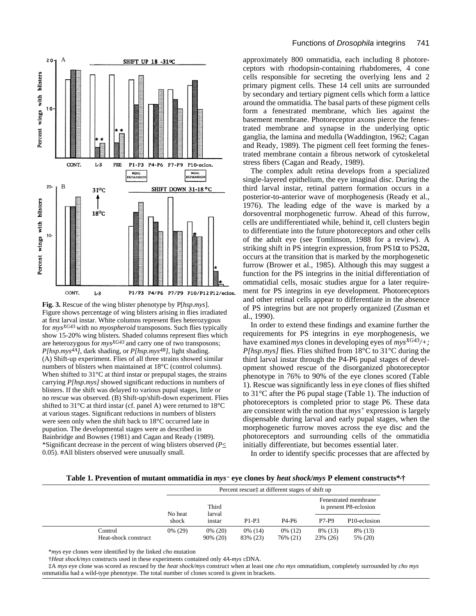

**Fig. 3.** Rescue of the wing blister phenotype by P[*hsp.mys*]. Figure shows percentage of wing blisters arising in flies irradiated at first larval instar. White columns represent flies heterozygous for *mysXG43* with no *myospheroid* transposons. Such flies typically show 15-20% wing blisters. Shaded columns represent flies which are heterozygous for *mysXG43* and carry one of two transposons; *P[hsp.mys4A]*, dark shading, or *P[hsp.mys4B]*, light shading. (A) Shift-up experiment. Flies of all three strains showed similar numbers of blisters when maintained at 18°C (control columns). When shifted to 31°C at third instar or prepupal stages, the strains carrying *P[hsp.mys]* showed significant reductions in numbers of blisters. If the shift was delayed to various pupal stages, little or no rescue was observed. (B) Shift-up/shift-down experiment. Flies shifted to 31°C at third instar (cf. panel A) were returned to 18°C at various stages. Significant reductions in numbers of blisters were seen only when the shift back to 18°C occurred late in pupation. The developmental stages were as described in Bainbridge and Bownes (1981) and Cagan and Ready (1989). \*Significant decrease in the percent of wing blisters observed (*P*< 0.05). #All blisters observed were unusually small.

approximately 800 ommatidia, each including 8 photoreceptors with rhodopsin-containing rhabdomeres, 4 cone cells responsible for secreting the overlying lens and 2 primary pigment cells. These 14 cell units are surrounded by secondary and tertiary pigment cells which form a lattice around the ommatidia. The basal parts of these pigment cells form a fenestrated membrane, which lies against the basement membrane. Photoreceptor axons pierce the fenestrated membrane and synapse in the underlying optic ganglia, the lamina and medulla (Waddington, 1962; Cagan and Ready, 1989). The pigment cell feet forming the fenestrated membrane contain a fibrous network of cytoskeletal stress fibers (Cagan and Ready, 1989).

The complex adult retina develops from a specialized single-layered epithelium, the eye imaginal disc. During the third larval instar, retinal pattern formation occurs in a posterior-to-anterior wave of morphogenesis (Ready et al., 1976). The leading edge of the wave is marked by a dorsoventral morphogenetic furrow. Ahead of this furrow, cells are undifferentiated while, behind it, cell clusters begin to differentiate into the future photoreceptors and other cells of the adult eye (see Tomlinson, 1988 for a review). A striking shift in PS integrin expression, from PS1 to PS2 $\mu$ occurs at the transition that is marked by the morphogenetic furrow (Brower et al., 1985). Although this may suggest a function for the PS integrins in the initial differentiation of ommatidial cells, mosaic studies argue for a later requirement for PS integrins in eye development. Photoreceptors and other retinal cells appear to differentiate in the absence of PS integrins but are not properly organized (Zusman et al., 1990).

In order to extend these findings and examine further the requirements for PS integrins in eye morphogenesis, we have examined *mys* clones in developing eyes of *mysXG43/+; P[hsp.mys]* flies. Flies shifted from 18°C to 31°C during the third larval instar through the P4-P6 pupal stages of development showed rescue of the disorganized photoreceptor phenotype in 76% to 90% of the eye clones scored (Table 1). Rescue was significantly less in eye clones of flies shifted to 31°C after the P6 pupal stage (Table 1). The induction of photoreceptors is completed prior to stage P6. These data are consistent with the notion that *mys<sup>+</sup>* expression is largely dispensable during larval and early pupal stages, when the morphogenetic furrow moves across the eye disc and the photoreceptors and surrounding cells of the ommatidia initially differentiate, but becomes essential later.

In order to identify specific processes that are affected by

**Table 1. Prevention of mutant ommatidia in** *mys* **eye clones by** *heat shock***/***mys* **P element constructs\*,†**

|                                 | Percent rescue <sup>†</sup> at different stages of shift up |                        |                        |                     |                     |                                                |  |
|---------------------------------|-------------------------------------------------------------|------------------------|------------------------|---------------------|---------------------|------------------------------------------------|--|
|                                 | No heat                                                     | Third<br>larval        |                        |                     |                     | Fenestrated membrane<br>is present P8-eclosion |  |
|                                 | shock                                                       | instar                 | $P1-P3$                | P4-P6               | <b>P7-P9</b>        | P <sub>10</sub> -eclosion                      |  |
| Control<br>Heat-shock construct | $0\%$ (29)                                                  | $0\%$ (20)<br>90% (20) | $0\%$ (14)<br>83% (23) | 0% (12)<br>76% (21) | 8% (13)<br>23% (26) | 8% (13)<br>5% (20)                             |  |

\**mys* eye clones were identified by the linked *cho* mutation

†*Heat shock/mys* constructs used in these experiments contained only *4A-mys* cDNA.

‡A *mys* eye clone was scored as rescued by the *heat shock/mys* construct when at least one *cho mys* ommatidium, completely surrounded by *cho mys* ommatidia had a wild-type phenotype. The total number of clones scored is given in brackets.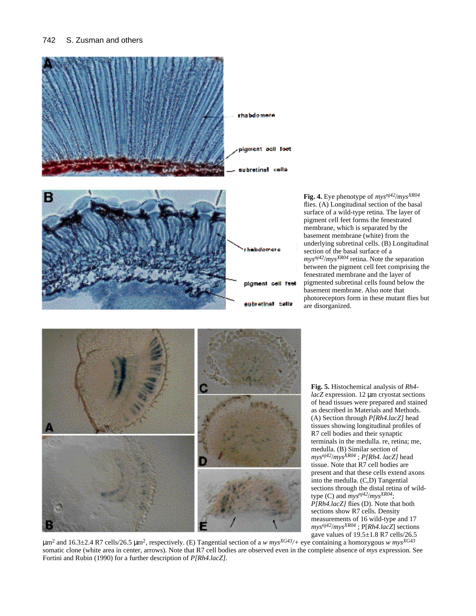## 742 S. Zusman and others



**Fig. 4.** Eye phenotype of *mysnj42*/*mysXR04* flies. (A) Longitudinal section of the basal surface of a wild-type retina. The layer of pigment cell feet forms the fenestrated membrane, which is separated by the basement membrane (white) from the underlying subretinal cells. (B) Longitudinal section of the basal surface of a *mysnj42*/*mysXR04* retina. Note the separation between the pigment cell feet comprising the fenestrated membrane and the layer of pigmented subretinal cells found below the basement membrane. Also note that photoreceptors form in these mutant flies but are disorganized.



**Fig. 5.** Histochemical analysis of *Rh4 lacZ* expression. 12 μm cryostat sections of head tissues were prepared and stained as described in Materials and Methods. (A) Section through *P[Rh4.lacZ]* head tissues showing longitudinal profiles of R7 cell bodies and their synaptic terminals in the medulla. re, retina; me, medulla. (B) Similar section of *mysnj42*/*mysXR04* ; *P[Rh4. lacZ]* head tissue. Note that R7 cell bodies are present and that these cells extend axons into the medulla. (C,D) Tangential sections through the distal retina of wildtype (C) and *mysnj42*/*mysXR04*; *P[Rh4.lacZ]* flies (D). Note that both sections show R7 cells. Density measurements of 16 wild-type and 17 *mysnj42*/*mysXR04* ; P[*Rh4.lacZ*] sections gave values of 19.5±1.8 R7 cells/26.5

μm<sup>2</sup> and 16.3±2.4 R7 cells/26.5 μm<sup>2</sup> , respectively. (E) Tangential section of a *w mysXG43/+* eye containing a homozygous *w mysXG43* somatic clone (white area in center, arrows). Note that R7 cell bodies are observed even in the complete absence of *mys* expression. See Fortini and Rubin (1990) for a further description of *P[Rh4.lacZ]*.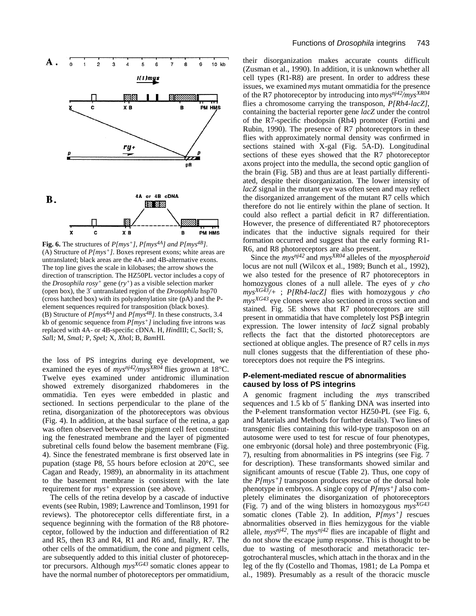

**Fig. 6.** The structures of *P[mys+], P[mys4A] and P[mys4B]*. (A) Structure of *P[mys+]*. Boxes represent exons; white areas are untranslated; black areas are the 4A- and 4B-alternative exons. The top line gives the scale in kilobases; the arrow shows the direction of transcription. The HZ50PL vector includes a copy of the *Drosophila rosy<sup>+</sup>* gene (*ry+*) as a visible selection marker (open box), the 3 untranslated region of the *Drosophila* hsp70 (cross hatched box) with its polyadenylation site (pA) and the Pelement sequences required for transposition (black boxes). (B) Structure of *P[mys4A]* and *P[mys4B].* In these constructs, 3.4 kb of genomic sequence from *P[mys+]* including five introns was replaced with 4A- or 4B-specific cDNA. H, *Hin*dIII; C, *Sac*II*;* S, *Sal*I*;* M, *Sma*I*;* P, *Spe*I*;* X, *Xho*I; B, *Bam*HI*.* 

the loss of PS integrins during eye development, we examined the eyes of  $mys^{nj42}/mys^{XR04}$  flies grown at 18°C. Twelve eyes examined under antidromic illumination showed extremely disorganized rhabdomeres in the ommatidia. Ten eyes were embedded in plastic and sectioned. In sections perpendicular to the plane of the retina, disorganization of the photoreceptors was obvious (Fig. 4). In addition, at the basal surface of the retina, a gap was often observed between the pigment cell feet constituting the fenestrated membrane and the layer of pigmented subretinal cells found below the basement membrane (Fig. 4). Since the fenestrated membrane is first observed late in pupation (stage P8, 55 hours before eclosion at 20°C, see Cagan and Ready, 1989), an abnormality in its attachment to the basement membrane is consistent with the late requirement for *mys<sup>+</sup>* expression (see above).

The cells of the retina develop by a cascade of inductive events (see Rubin, 1989; Lawrence and Tomlinson, 1991 for reviews). The photoreceptor cells differentiate first, in a sequence beginning with the formation of the R8 photoreceptor, followed by the induction and differentiation of R2 and R5, then R3 and R4, R1 and R6 and, finally, R7. The other cells of the ommatidium, the cone and pigment cells, are subsequently added to this initial cluster of photoreceptor precursors. Although *mysXG43* somatic clones appear to have the normal number of photoreceptors per ommatidium,

their disorganization makes accurate counts difficult (Zusman et al., 1990). In addition, it is unknown whether all cell types (R1-R8) are present. In order to address these issues, we examined *mys* mutant ommatidia for the presence of the R7 photoreceptor by introducing into *mysnj42/mysXR04* flies a chromosome carrying the transposon, *P[Rh4-lacZ]*, containing the bacterial reporter gene *lacZ* under the control of the R7-specific rhodopsin (Rh4) promoter (Fortini and Rubin, 1990). The presence of R7 photoreceptors in these flies with approximately normal density was confirmed in sections stained with X-gal (Fig. 5A-D). Longitudinal sections of these eyes showed that the R7 photoreceptor axons project into the medulla, the second optic ganglion of the brain (Fig. 5B) and thus are at least partially differentiated, despite their disorganization. The lower intensity of *lacZ* signal in the mutant eye was often seen and may reflect the disorganized arrangement of the mutant R7 cells which therefore do not lie entirely within the plane of section. It could also reflect a partial deficit in R7 differentiation. However, the presence of differentiated R7 photoreceptors indicates that the inductive signals required for their formation occurred and suggest that the early forming R1- R6, and R8 photoreceptors are also present.

Since the *mysnj42* and *mysXR04* alleles of the *myospheroid* locus are not null (Wilcox et al., 1989; Bunch et al., 1992), we also tested for the presence of R7 photoreceptors in homozygous clones of a null allele. The eyes of *y cho mysXG43/+* ; *P[Rh4-lacZ]* flies with homozygous *y cho mysXG43* eye clones were also sectioned in cross section and stained. Fig. 5E shows that R7 photoreceptors are still present in ommatidia that have completely lost PS integrin expression. The lower intensity of *lacZ* signal probably reflects the fact that the distorted photoreceptors are sectioned at oblique angles. The presence of R7 cells in *mys* null clones suggests that the differentiation of these photoreceptors does not require the PS integrins.

## **P-element-mediated rescue of abnormalities caused by loss of PS integrins**

A genomic fragment including the *mys* transcribed sequences and 1.5 kb of 5 flanking DNA was inserted into the P-element transformation vector HZ50-PL (see Fig. 6, and Materials and Methods for further details). Two lines of transgenic flies containing this wild-type transposon on an autosome were used to test for rescue of four phenotypes, one embryonic (dorsal hole) and three postembryonic (Fig. 7), resulting from abnormalities in PS integrins (see Fig. 7 for description). These transformants showed similar and significant amounts of rescue (Table 2). Thus, one copy of the *P[mys+]* transposon produces rescue of the dorsal hole phenotype in embryos. A single copy of *P[mys+]* also completely eliminates the disorganization of photoreceptors (Fig. 7) and of the wing blisters in homozygous *mysXG43* somatic clones (Table 2). In addition, *P[mys+]* rescues abnormalities observed in flies hemizygous for the viable allele,  $mys^{nj42}$ . The  $mys^{nj42}$  flies are incapable of flight and do not show the escape jump response. This is thought to be due to wasting of mesothoracic and metathoracic tergotrochanteral muscles, which attach in the thorax and in the leg of the fly (Costello and Thomas, 1981; de La Pompa et al., 1989). Presumably as a result of the thoracic muscle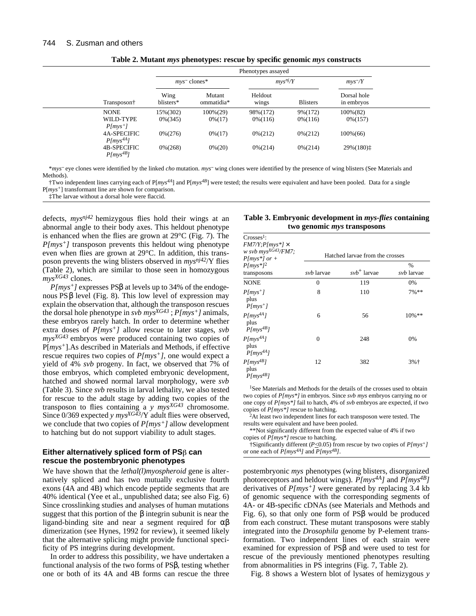|                               |                     | Phenotypes assayed   |                      |                     |                           |  |
|-------------------------------|---------------------|----------------------|----------------------|---------------------|---------------------------|--|
|                               | $mvs$ clones*       |                      | mvs <sup>nj</sup> /Y |                     | mvs/Y                     |  |
| Transposon†                   | Wing<br>blisters*   | Mutant<br>ommatidia* | Heldout<br>wings     | <b>Blisters</b>     | Dorsal hole<br>in embryos |  |
| <b>NONE</b>                   | 15%(302)            | $100\%(29)$          | 98%(172)             | 9%(172)             | $100\%(82)$               |  |
| WILD-TYPE<br>$P(mys^+)$       | $0\%$ (345)         | $0\frac{4}{17}$      | $0\% (116)$          | $0\% (116)$         | $0\% (157)$               |  |
| 4A-SPECIFIC<br>$P/mvs^{4A}$ ] | $0\frac{6(276)}{2}$ | $0\frac{4}{17}$      | $0\% (212)$          | $0\frac{6(212)}{2}$ | $100\%(66)$               |  |
| 4B-SPECIFIC<br>$P(mys^{AB})$  | $0\% (268)$         | $0\% (20)$           | $0\% (214)$          | $0\% (214)$         | 29%(180) $\ddagger$       |  |

**Table 2. Mutant** *mys* **phenotypes: rescue by specific genomic** *mys* **constructs**

\**mys* eye clones were identified by the linked *cho* mutation. *mys* wing clones were identified by the presence of wing blisters (See Materials and Methods).

†Two independent lines carrying each of P[*mys4A*] and P[*mys4B*] were tested; the results were equivalent and have been pooled. Data for a single P[*mys+*] transformant line are shown for comparison.

‡The larvae without a dorsal hole were flaccid.

defects, *mysnj42* hemizygous flies hold their wings at an abnormal angle to their body axes. This heldout phenotype is enhanced when the flies are grown at 29°C (Fig. 7). The *P[mys+]* transposon prevents this heldout wing phenotype even when flies are grown at 29°C. In addition, this transposon prevents the wing blisters observed in *mysnj42*/Y flies (Table 2), which are similar to those seen in homozygous *mysXG43* clones.

*P[mys+]* expresses PS at levels up to 34% of the endogenous PS level (Fig. 8). This low level of expression may explain the observation that, although the transposon rescues the dorsal hole phenotype in *svb mysXG43* ; *P[mys+]* animals, these embryos rarely hatch. In order to determine whether extra doses of *P[mys+]* allow rescue to later stages, *svb mysXG43* embryos were produced containing two copies of P[*mys+*].As described in Materials and Methods, if effective rescue requires two copies of *P[mys+],* one would expect a yield of 4% *svb* progeny. In fact, we observed that 7% of those embryos, which completed embryonic development, hatched and showed normal larval morphology, were *svb* (Table 3). Since *svb* results in larval lethality, we also tested for rescue to the adult stage by adding two copies of the transposon to flies containing a *y mysXG43* chromosome. Since 0/369 expected *y mysXG43*/Y adult flies were observed, we conclude that two copies of *P[mys+]* allow development to hatching but do not support viability to adult stages.

## Either alternatively spliced form of PS $\beta$  can **rescue the postembryonic phenotypes**

We have shown that the *lethal(l)myospheroid* gene is alternatively spliced and has two mutually exclusive fourth exons (4A and 4B) which encode peptide segments that are 40% identical (Yee et al., unpublished data; see also Fig. 6) Since crosslinking studies and analyses of human mutations suggest that this portion of the integrin subunit is near the ligand-binding site and near a segment required for dimerization (see Hynes, 1992 for review), it seemed likely that the alternative splicing might provide functional specificity of PS integrins during development.

In order to address this possibility, we have undertaken a functional analysis of the two forms of PS , testing whether one or both of its 4A and 4B forms can rescue the three

| Table 3. Embryonic development in <i>mys-flies</i> containing |
|---------------------------------------------------------------|
| two genomic <i>mys</i> transposons                            |

| $Crosses1$ :<br>$FM7/Y;P(mys*1 \times$<br>w svb $mvs^{XG43}/FM7$ ;<br>$P(mys*]$ or + | Hatched larvae from the crosses |                  |                   |  |  |  |  |
|--------------------------------------------------------------------------------------|---------------------------------|------------------|-------------------|--|--|--|--|
| $P/mvs*l^2$                                                                          |                                 |                  | $\%$              |  |  |  |  |
| transposons                                                                          | svb larvae                      | $s v b^+$ larvae | <i>svb</i> larvae |  |  |  |  |
| <b>NONE</b>                                                                          | $\Omega$                        | 119              | 0%                |  |  |  |  |
| $P(mvs^+)$<br>plus<br>$P(mvs^+)$                                                     | 8                               | 110              | $7\%**$           |  |  |  |  |
| $P/mys^{4A}$ ]<br>plus<br>$P(mys^{4B})$                                              | 6                               | 56               | 10%**             |  |  |  |  |
| $P/mys^{4A}$ ]<br>plus<br>$P[mys^{4A}]$                                              | 0                               | 248              | 0%                |  |  |  |  |
| $P/mys^{4B}$ ]<br>plus<br>$P(mys^{AB})$                                              | 12                              | 382              | $3%$ <sup>+</sup> |  |  |  |  |

<sup>1</sup>See Materials and Methods for the details of the crosses used to obtain two copies of *P[mys\*]* in embryos. Since *svb mys* embryos carrying no or one copy of *P[mys\*]* fail to hatch, 4% of *svb* embryos are expected, if two copies of *P[mys\*]* rescue to hatching.

<sup>2</sup>At least two independent lines for each transposon were tested. The results were equivalent and have been pooled.

\*\*Not significantly different from the expected value of 4% if two copies of *P[mys\*]* rescue to hatching.

†Significantly different (*P*<0.05) from rescue by two copies of *P[mys+]* or one each of *P[mys4A]* and *P[mys4B]*.

postembryonic *mys* phenotypes (wing blisters, disorganized photoreceptors and heldout wings). *P[mys4A]* and *P[mys4B]* derivatives of *P[mys+]* were generated by replacing 3.4 kb of genomic sequence with the corresponding segments of 4A- or 4B-specific cDNAs (see Materials and Methods and Fig. 6), so that only one form of PS would be produced from each construct. These mutant transposons were stably integrated into the *Drosophila* genome by P-element transformation. Two independent lines of each strain were examined for expression of PS and were used to test for rescue of the previously mentioned phenotypes resulting from abnormalities in PS integrins (Fig. 7, Table 2).

Fig. 8 shows a Western blot of lysates of hemizygous *y*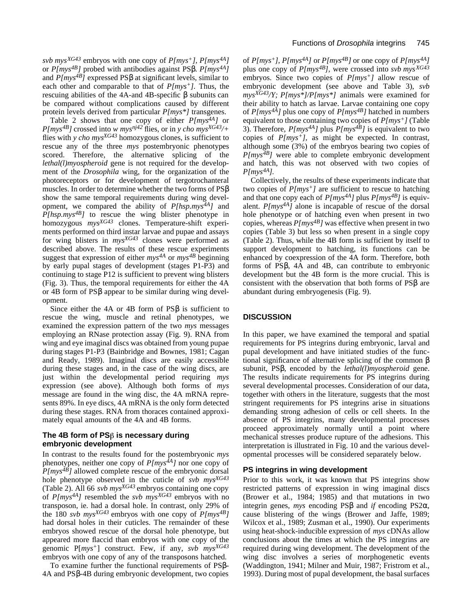*svb mysXG43* embryos with one copy of *P[mys+], P[mys4A]* or *P[mys4B]* probed with antibodies against PS . *P[mys4A]* and  $P(mys^{4B})$  expressed PS at significant levels, similar to each other and comparable to that of *P[mys+].* Thus, the rescuing abilities of the 4A-and 4B-specific subunits can be compared without complications caused by different protein levels derived from particular *P[mys\*]* transgenes.

Table 2 shows that one copy of either *P[mys4A]* or *P*[*mys<sup>4B</sup>*] crossed into *w mys<sup>nj42</sup>* flies, or in *y cho mys*<sup>*XG43*/+</sup> flies with *y cho mysXG43* homozygous clones, is sufficient to rescue any of the three *mys* postembryonic phenotypes scored. Therefore, the alternative splicing of the *lethal(l)myospheroid* gene is not required for the development of the *Drosophila* wing, for the organization of the photoreceptors or for development of tergotrochanteral muscles. In order to determine whether the two forms of PS show the same temporal requirements during wing development, we compared the ability of *P[hsp.mys4A]* and *P[hsp.mys4B]* to rescue the wing blister phenotype in homozygous *mysXG43* clones. Temperature-shift experiments performed on third instar larvae and pupae and assays for wing blisters in *mysXG43* clones were performed as described above. The results of these rescue experiments suggest that expression of either  $mys^{4A}$  or  $mys^{4B}$  beginning by early pupal stages of development (stages P1-P3) and continuing to stage P12 is sufficient to prevent wing blisters (Fig. 3). Thus, the temporal requirements for either the 4A or 4B form of PS appear to be similar during wing development.

Since either the 4A or 4B form of PS is sufficient to rescue the wing, muscle and retinal phenotypes, we examined the expression pattern of the two *mys* messages employing an RNase protection assay (Fig. 9). RNA from wing and eye imaginal discs was obtained from young pupae during stages P1-P3 (Bainbridge and Bownes, 1981; Cagan and Ready, 1989). Imaginal discs are easily accessible during these stages and, in the case of the wing discs, are just within the developmental period requiring *mys* expression (see above). Although both forms of *mys* message are found in the wing disc, the 4A mRNA represents 89%. In eye discs, 4A mRNA is the only form detected during these stages. RNA from thoraces contained approximately equal amounts of the 4A and 4B forms.

## The 4B form of PS<sub> $\beta$ </sub> is necessary during **embryonic development**

In contrast to the results found for the postembryonic *mys* phenotypes, neither one copy of *P[mys4A]* nor one copy of  $P(mys\hat{AB})$  allowed complete rescue of the embryonic dorsal hole phenotype observed in the cuticle of *svb mysXG43* (Table 2). All 66 *svb mysXG43* embryos containing one copy of *P[mys4A]* resembled the *svb mysXG43* embryos with no transposon, ie. had a dorsal hole. In contrast, only 29% of the 180 *svb mysXG43* embryos with one copy of *P[mys4B]* had dorsal holes in their cuticles. The remainder of these embryos showed rescue of the dorsal hole phenotype, but appeared more flaccid than embryos with one copy of the genomic P[*mys+*] construct. Few, if any, *svb mysXG43* embryos with one copy of any of the transposons hatched.

To examine further the functional requirements of PS - 4A and PS -4B during embryonic development, two copies of  $P(mys^{+})$ ,  $P(mys^{4A})$  or  $P(mys^{4B})$  or one copy of  $P(mys^{4A})$ plus one copy of *P[mys4B],* were crossed into *svb mysXG43* embryos. Since two copies of *P[mys+]* allow rescue of embryonic development (see above and Table 3), *svb mysXG43/Y; P[mys\*]/P[mys\*]* animals were examined for their ability to hatch as larvae. Larvae containing one copy of  $P(mys^{4A})$  plus one copy of  $P(mys^{4B})$  hatched in numbers equivalent to those containing two copies of *P[mys+]* (Table 3). Therefore,  $P/mys^{4A}$ *]* plus  $P/mys^{4B}$ *]* is equivalent to two copies of *P[mys+],* as might be expected. In contrast, although some (3%) of the embryos bearing two copies of *P[mys4B]* were able to complete embryonic development and hatch, this was not observed with two copies of *P[mys4A].* 

Collectively, the results of these experiments indicate that two copies of *P[mys+]* are sufficient to rescue to hatching and that one copy each of  $P(mys^{4A})$  plus  $P(mys^{4B})$  is equivalent.  $P/mys^{4A}$ <sup> $\bar{j}$ </sup> alone is incapable of rescue of the dorsal hole phenotype or of hatching even when present in two copies, whereas  $P(mys^{4B})$  was effective when present in two copies (Table 3) but less so when present in a single copy (Table 2). Thus, while the 4B form is sufficient by itself to support development to hatching, its functions can be enhanced by coexpression of the 4A form. Therefore, both forms of PS , 4A and 4B, can contribute to embryonic development but the 4B form is the more crucial. This is consistent with the observation that both forms of PS are abundant during embryogenesis (Fig. 9).

## **DISCUSSION**

In this paper, we have examined the temporal and spatial requirements for PS integrins during embryonic, larval and pupal development and have initiated studies of the functional significance of alternative splicing of the common subunit, PS , encoded by the *lethal(l)myospheroid* gene. The results indicate requirements for PS integrins during several developmental processes. Consideration of our data, together with others in the literature, suggests that the most stringent requirements for PS integrins arise in situations demanding strong adhesion of cells or cell sheets. In the absence of PS integrins, many developmental processes proceed approximately normally until a point where mechanical stresses produce rupture of the adhesions. This interpretation is illustrated in Fig. 10 and the various developmental processes will be considered separately below.

## **PS integrins in wing development**

Prior to this work, it was known that PS integrins show restricted patterns of expression in wing imaginal discs (Brower et al., 1984; 1985) and that mutations in two integrin genes, *mys* encoding PS and *if* encoding PS2 , cause blistering of the wings (Brower and Jaffe, 1989; Wilcox et al., 1989; Zusman et al., 1990). Our experiments using heat-shock-inducible expression of *mys* cDNAs allow conclusions about the times at which the PS integrins are required during wing development. The development of the wing disc involves a series of morphogenetic events (Waddington, 1941; Milner and Muir, 1987; Fristrom et al., 1993). During most of pupal development, the basal surfaces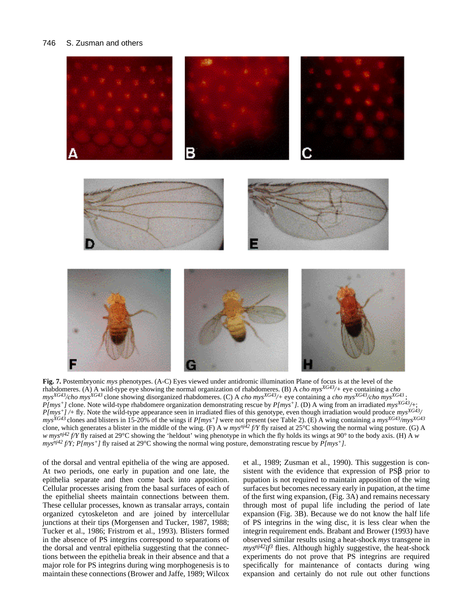#### 746 S. Zusman and others



**Fig. 7.** Postembryonic *mys* phenotypes. (A-C) Eyes viewed under antidromic illumination Plane of focus is at the level of the rhabdomeres. (A) A wild-type eye showing the normal organization of rhabdomeres. (B) A *cho mysXG43/+* eye containing a *cho*  $mys^{XG43}/cho$   $mys^{XG43}$  clone showing disorganized rhabdomeres. (C) A *cho mys<sup>XG43</sup>*/+ eye containing a *cho mys<sup>XG43</sup>*/*cho mys*<sup>XG43</sup> ; *P[mys+]* clone. Note wild-type rhabdomere organization demonstrating rescue by *P[mys+].* (D) A wing from an irradiated *mysXG43/*+; *P[mys+] /*+ fly. Note the wild-type appearance seen in irradiated flies of this genotype, even though irradiation would produce *mysXG43/ mysXG43* clones and blisters in 15-20% of the wings if *P[mys+]* were not present (see Table 2). (E) A wing containing a *mysXG43/mysXG43* clone, which generates a blister in the middle of the wing. (F) A *w mysnj42 f/Y* fly raised at 25°C showing the normal wing posture. (G) A *w mysnj42 f/Y* fly raised at 29°C showing the 'heldout' wing phenotype in which the fly holds its wings at 90° to the body axis. (H) A *w mys<sup>nj42</sup>*  $f/Y$ *; P[mys<sup>+</sup>]*  $f$ ]  $f$  raised at 29<sup>°</sup>C showing the normal wing posture, demonstrating rescue by  $P(mys<sup>+</sup>)$ .

of the dorsal and ventral epithelia of the wing are apposed. At two periods, one early in pupation and one late, the epithelia separate and then come back into apposition. Cellular processes arising from the basal surfaces of each of the epithelial sheets maintain connections between them. These cellular processes, known as transalar arrays, contain organized cytoskeleton and are joined by intercellular junctions at their tips (Morgensen and Tucker, 1987, 1988; Tucker et al., 1986; Fristrom et al., 1993). Blisters formed in the absence of PS integrins correspond to separations of the dorsal and ventral epithelia suggesting that the connections between the epithelia break in their absence and that a major role for PS integrins during wing morphogenesis is to maintain these connections (Brower and Jaffe, 1989; Wilcox

et al., 1989; Zusman et al., 1990). This suggestion is consistent with the evidence that expression of PS prior to pupation is not required to maintain apposition of the wing surfaces but becomes necessary early in pupation, at the time of the first wing expansion, (Fig. 3A) and remains necessary through most of pupal life including the period of late expansion (Fig. 3B). Because we do not know the half life of PS integrins in the wing disc, it is less clear when the integrin requirement ends. Brabant and Brower (1993) have observed similar results using a heat-shock *mys* transgene in  $mys^{nj^2}$ *if*<sup>3</sup> flies. Although highly suggestive, the heat-shock experiments do not prove that PS integrins are required specifically for maintenance of contacts during wing expansion and certainly do not rule out other functions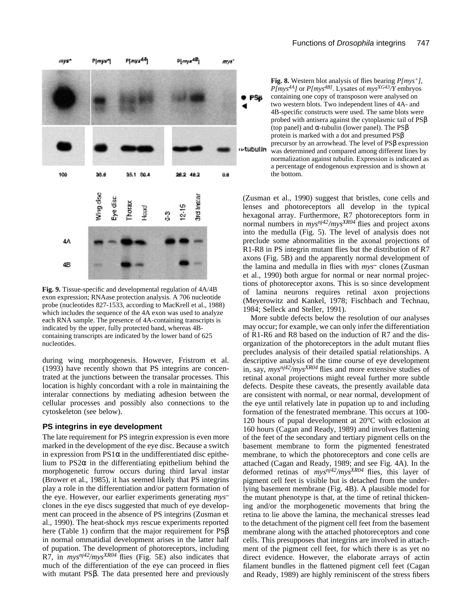

**Fig. 9.** Tissue-specific and developmental regulation of 4A/4B exon expression; RNAase protection analysis. A 706 nucleotide probe (nucleotides 827-1533, according to MacKrell et al., 1988) which includes the sequence of the 4A exon was used to analyze each RNA sample. The presence of 4A-containing transcripts is indicated by the upper, fully protected band, whereas 4Bcontaining transcripts are indicated by the lower band of 625 nucleotides.

during wing morphogenesis. However, Fristrom et al. (1993) have recently shown that PS integrins are concentrated at the junctions between the transalar processes. This location is highly concordant with a role in maintaining the interalar connections by mediating adhesion between the cellular processes and possibly also connections to the cytoskeleton (see below).

#### **PS integrins in eye development**

The late requirement for PS integrin expression is even more marked in the development of the eye disc. Because a switch in expression from PS1 in the undifferentiated disc epithelium to PS2 in the differentiating epithelium behind the morphogenetic furrow occurs during third larval instar (Brower et al., 1985), it has seemed likely that PS integrins play a role in the differentiation and/or pattern formation of the eye. However, our earlier experiments generating *mys* clones in the eye discs suggested that much of eye development can proceed in the absence of PS integrins (Zusman et al., 1990). The heat-shock *mys* rescue experiments reported here (Table 1) confirm that the major requirement for PS in normal ommatidial development arises in the latter half of pupation. The development of photoreceptors, including R7, in *mysnj42/mysXR04* flies (Fig. 5E) also indicates that much of the differentiation of the eye can proceed in flies with mutant PS . The data presented here and previously

**Fig. 8.** Western blot analysis of flies bearing *P[mys+], P[mys4A]* or *P[mys4B]*. Lysates of *mysXG43/Y* embryos containing one copy of transposon were analysed on two western blots. Two independent lines of 4A- and 4B-specific constructs were used. The same blots were probed with antisera against the cytoplasmic tail of PS (top panel) and -tubulin (lower panel). The PS protein is marked with a dot and presumed PS precursor by an arrowhead. The level of PS expression u-tubulin was determined and compared among different lines by normalization against tubulin. Expression is indicated as a percentage of endogenous expression and is shown at the bottom.

(Zusman et al., 1990) suggest that bristles, cone cells and lenses and photoreceptors all develop in the typical hexagonal array. Furthermore, R7 photoreceptors form in normal numbers in *mysnj42/mysXR04* flies and project axons into the medulla (Fig. 5). The level of analysis does not preclude some abnormalities in the axonal projections of R1-R8 in PS integrin mutant flies but the distribution of R7 axons (Fig. 5B) and the apparently normal development of the lamina and medulla in flies with *mys* clones (Zusman et al., 1990) both argue for normal or near normal projections of photoreceptor axons. This is so since development of lamina neurons requires retinal axon projections (Meyerowitz and Kankel, 1978; Fischbach and Technau, 1984; Selleck and Steller, 1991).

More subtle defects below the resolution of our analyses may occur; for example, we can only infer the differentiation of R1-R6 and R8 based on the induction of R7 and the disorganization of the photoreceptors in the adult mutant flies precludes analysis of their detailed spatial relationships. A descriptive analysis of the time course of eye development in, say, *mysnj42/mysXR04* flies and more extensive studies of retinal axonal projections might reveal further more subtle defects. Despite these caveats, the presently available data are consistent with normal, or near normal, development of the eye until relatively late in pupation up to and including formation of the fenestrated membrane. This occurs at 100- 120 hours of pupal development at 20°C with eclosion at 160 hours (Cagan and Ready, 1989) and involves flattening of the feet of the secondary and tertiary pigment cells on the basement membrane to form the pigmented fenestrated membrane, to which the photoreceptors and cone cells are attached (Cagan and Ready, 1989; and see Fig. 4A). In the deformed retinas of *mysnj42/mysXR04* flies, this layer of pigment cell feet is visible but is detached from the underlying basement membrane (Fig. 4B). A plausible model for the mutant phenotype is that, at the time of retinal thickening and/or the morphogenetic movements that bring the retina to lie above the lamina, the mechanical stresses lead to the detachment of the pigment cell feet from the basement membrane along with the attached photoreceptors and cone cells. This presupposes that integrins are involved in attachment of the pigment cell feet, for which there is as yet no direct evidence. However, the elaborate arrays of actin filament bundles in the flattened pigment cell feet (Cagan and Ready, 1989) are highly reminiscent of the stress fibers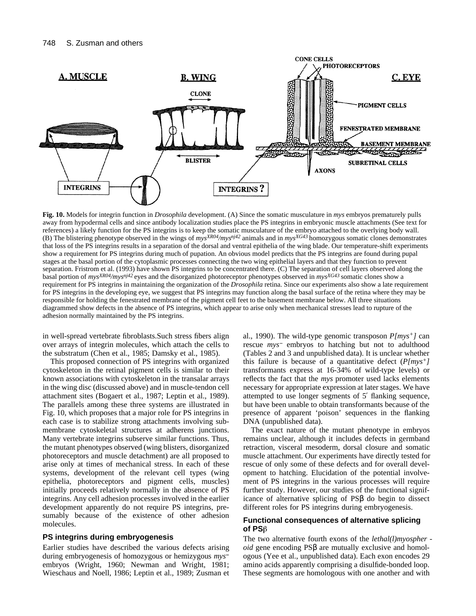

**Fig. 10.** Models for integrin function in *Drosophila* development. (A) Since the somatic musculature in *mys* embryos prematurely pulls away from hypodermal cells and since antibody localization studies place the PS integrins in embryonic muscle attachments (See text for references) a likely function for the PS integrins is to keep the somatic musculature of the embryo attached to the overlying body wall. (B) The blistering phenotype observed in the wings of *mysXR04/mysnj42* animals and in *mysXG43* homozygous somatic clones demonstrates that loss of the PS integrins results in a separation of the dorsal and ventral epithelia of the wing blade. Our temperature-shift experiments show a requirement for PS integrins during much of pupation. An obvious model predicts that the PS integrins are found during pupal stages at the basal portion of the cytoplasmic processes connecting the two wing epithelial layers and that they function to prevent separation. Fristrom et al. (1993) have shown PS integrins to be concentrated there. (C) The separation of cell layers observed along the basal portion of *mysXR04/mysnj42* eyes and the disorganized photoreceptor phenotypes observed in *mysXG43* somatic clones show a requirement for PS integrins in maintaining the organization of the *Drosophila* retina. Since our experiments also show a late requirement for PS integrins in the developing eye, we suggest that PS integrins may function along the basal surface of the retina where they may be responsible for holding the fenestrated membrane of the pigment cell feet to the basement membrane below. All three situations diagrammed show defects in the absence of PS integrins, which appear to arise only when mechanical stresses lead to rupture of the adhesion normally maintained by the PS integrins.

in well-spread vertebrate fibroblasts.Such stress fibers align over arrays of integrin molecules, which attach the cells to the substratum (Chen et al., 1985; Damsky et al., 1985).

This proposed connection of PS integrins with organized cytoskeleton in the retinal pigment cells is similar to their known associations with cytoskeleton in the transalar arrays in the wing disc (discussed above) and in muscle-tendon cell attachment sites (Bogaert et al., 1987; Leptin et al., 1989). The parallels among these three systems are illustrated in Fig. 10, which proposes that a major role for PS integrins in each case is to stabilize strong attachments involving submembrane cytoskeletal structures at adherens junctions. Many vertebrate integrins subserve similar functions. Thus, the mutant phenotypes observed (wing blisters, disorganized photoreceptors and muscle detachment) are all proposed to arise only at times of mechanical stress. In each of these systems, development of the relevant cell types (wing epithelia, photoreceptors and pigment cells, muscles) initially proceeds relatively normally in the absence of PS integrins. Any cell adhesion processes involved in the earlier development apparently do not require PS integrins, presumably because of the existence of other adhesion molecules.

## **PS integrins during embryogenesis**

Earlier studies have described the various defects arising during embryogenesis of homozygous or hemizygous *mys* embryos (Wright, 1960; Newman and Wright, 1981; Wieschaus and Noell, 1986; Leptin et al., 1989; Zusman et al., 1990). The wild-type genomic transposon *P[mys+]* can rescue *mys* embryos to hatching but not to adulthood (Tables 2 and 3 and unpublished data). It is unclear whether this failure is because of a quantitative defect (*P[mys+]* transformants express at 16-34% of wild-type levels) or reflects the fact that the *mys* promoter used lacks elements necessary for appropriate expression at later stages. We have attempted to use longer segments of 5 flanking sequence, but have been unable to obtain transformants because of the presence of apparent 'poison' sequences in the flanking DNA (unpublished data).

The exact nature of the mutant phenotype in embryos remains unclear, although it includes defects in germband retraction, visceral mesoderm, dorsal closure and somatic muscle attachment. Our experiments have directly tested for rescue of only some of these defects and for overall development to hatching. Elucidation of the potential involvement of PS integrins in the various processes will require further study. However, our studies of the functional significance of alternative splicing of PS do begin to dissect different roles for PS integrins during embryogenesis.

## **Functional consequences of alternative splicing of PS**

The two alternative fourth exons of the *lethal(l)myospher oid* gene encoding PS are mutually exclusive and homologous (Yee et al., unpublished data). Each exon encodes 29 amino acids apparently comprising a disulfide-bonded loop. These segments are homologous with one another and with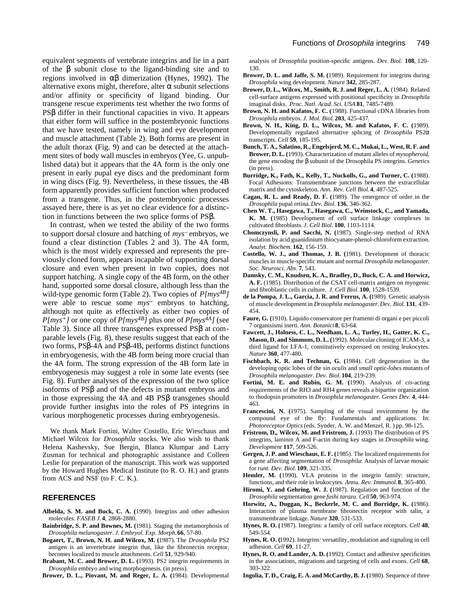equivalent segments of vertebrate integrins and lie in a part of the subunit close to the ligand-binding site and to regions involved in dimerization (Hynes, 1992). The alternative exons might, therefore, alter subunit selections and/or affinity or specificity of ligand binding. Our transgene rescue experiments test whether the two forms of PS differ in their functional capacities in vivo. It appears that either form will suffice in the postembryonic functions that we have tested, namely in wing and eye development and muscle attachment (Table 2). Both forms are present in the adult thorax (Fig. 9) and can be detected at the attachment sites of body wall muscles in embryos (Yee, G. unpublished data) but it appears that the 4A form is the only one present in early pupal eye discs and the predominant form in wing discs (Fig. 9). Nevertheless, in these tissues, the 4B form apparently provides sufficient function when produced from a transgene. Thus, in the postembryonic processes assayed here, there is as yet no clear evidence for a distinction in functions between the two splice forms of PS .

In contrast, when we tested the ability of the two forms to support dorsal closure and hatching of *mys* embryos, we found a clear distinction (Tables 2 and 3). The 4A form, which is the most widely expressed and represents the previously cloned form, appears incapable of supporting dorsal closure and even when present in two copies, does not support hatching. A single copy of the 4B form, on the other hand, supported some dorsal closure, although less than the wild-type genomic form (Table 2). Two copies of *P[mys4B]* were able to rescue some  $mys$  embryos to hatching, although not quite as effectively as either two copies of  $P(mys<sup>+</sup>)$  or one copy of  $P(mys<sup>4B</sup>)$  plus one of  $P(mys<sup>4A</sup>)$  (see Table 3). Since all three transgenes expressed PS at comparable levels (Fig. 8), these results suggest that each of the two forms, PS -4A and PS -4B, performs distinct functions in embryogenesis, with the 4B form being more crucial than the 4A form. The strong expression of the 4B form late in embryogenesis may suggest a role in some late events (see Fig. 8). Further analyses of the expression of the two splice isoforms of PS and of the defects in mutant embryos and in those expressing the 4A and 4B PS transgenes should provide further insights into the roles of PS integrins in various morphogenetic processes during embryogenesis.

We thank Mark Fortini, Walter Costello, Eric Wieschaus and Michael Wilcox for *Drosophila* stocks. We also wish to thank Helena Kashevsky, Sue Bergin, Blanca Klumpar and Larry Zusman for technical and photographic assistance and Colleen Leslie for preparation of the manuscript. This work was supported by the Howard Hughes Medical Institute (to R. O. H.) and grants from ACS and NSF (to F. C. K.).

## **REFERENCES**

- **Albelda, S. M. and Buck, C. A. (**1990). Integrins and other adhesion molecules. *FASEB J.* **4**, 2868-2880.
- **Bainbridge, S. P. and Bownes, M. (**1981). Staging the metamorphosis of *Drosophila melanogaster*. *J. Embryol. Exp. Morph.***66**, 57-80.
- **Bogaert, T., Brown, N. H. and Wilcox, M. (**1987). The *Drosophila* PS2 antigen is an invertebrate integrin that, like the fibronectin receptor, becomes localized to muscle attachments. *Cell* **51**, 929-940.
- **Brabant, M. C. and Brower, D. L. (**1993). PS2 integrin requirements in *Drosophila* embryo and wing morphogenesis. (in press).

analysis of *Drosophila* position-specific antigens. *Dev. Biol.* **108**, 120- 130.

- **Brower, D. L. and Jaffe, S. M. (**1989). Requirement for integrins during *Drosophila* wing development. *Nature* **342**, 285-287.
- Brower, D. L., Wilcox, M., Smith, R. J. and Reger, L. A. (1984). Related cell-surface antigens expressed with positional specificity in *Drosophila* imaginal disks. *Proc. Natl. Acad. Sci. USA* **81**, 7485-7489.
- **Brown, N. H. and Kafatos, F. C. (**1988). Functional cDNA libraries from *Drosophila* embryos. *J. Mol. Biol.* **203**, 425-437.
- **Brown, N. H., King, D. L., Wilcox, M. and Kafatos, F. C. (**1989). Developmentally regulated alternative splicing of *Drosophila* PS2 transcripts. *Cell* **59**, 185-195.
- **Bunch, T. A., Salatino, R., Engelsjerd, M. C., Mukai, L., West, R. F. and Brower, D. L. (**1993). Characterization of mutant alleles of *mysopheroid*, the gene encoding the subunit of the Drosophila PS integrins. *Genetics* (in press).
- **Burridge, K., Fath, K., Kelly, T., Nuckolls, G., and Turner, C. (**1988). Focal Adhesions: Transmembrane junctions between the extracellular matrix and the cytoskeleton. *Ann. Rev. Cell Biol.***4**, 487-525.
- **Cagan, R. L. and Ready, D. F. (**1989). The emergence of order in the *Drosophila* pupal retina. *Dev. Biol.* **136**, 346-362.
- **Chen W. T., Hasegawa, T., Hasegawa, C., Weinstock, C., and Yamada, K. M. (**1985) Development of cell surface linkage complexes in cultivated fibroblasts. *J. Cell Biol.* **100**, 1103-1114.
- **Chomczynsli, P. and Sacchi, N. (**1987). Single-step method of RNA isolation by acid guanidinium thiocyanate-phenol-chloroform extraction. *Analyt. Biochem.* **162**, 156-159.
- **Costello, W. J., and Thomas, J. B. (**1981). Development of thoracic muscles in muscle-specific mutant and normal *Drosophila melanogaster*. *Soc. Neurosci. Abs.* **7**, 543.
- **Damsky, C. M., Knudsen, K. A., Bradley, D., Buck, C. A. and Horwicz, A. F.** (1985). Distribution of the CSAT cell-matrix antigen on myogenic and fibroblastic cells in culture. *J. Cell Biol.* **100**, 1528-1539.
- **de la Pompa, J. L., Garcia, J. R. and Ferrus, A. (**1989). Genetic analysis of muscle development in *Drosophila melanogaster*. *Dev. Biol.* **131**, 439- 454.
- **Faure, G. (**1910). Liquido conservatore per framenti di organi e per piccoli 7 organisismi inerti. *Ann. Botanici* **8**, 63-64.
- **Fawcett, J., Holness, C. L., Needham, L. A., Turley, H., Gatter, K. C., Mason, D. and Simmons, D. L. (**1992). Molecular cloning of ICAM-3, a third ligand for LFA-1, constitutively expressed on resting leukocytes. *Nature* **360**, 477-480.
- **Fischbach, K. R. and Technau, G. (**1984). Cell degeneration in the developing optic lobes of the *sin oculis* and *small optic-lobes* mutants of *Drosophila melanogaster*. *Dev. Biol.* **104**, 219-239.
- **Fortini, M. E. and Rubin, G. M. (**1990). Analysis of *cis*-acting requirements of the RH3 and RH4 genes reveals a bipartite organization to rhodopsin promoters in *Drosophila melanogaster*. *Genes Dev.* **4**, 444- 463.
- **Francescini, N. (**1975). Sampling of the visual environment by the compound eye of the fly: Fundamentals and applications. In: *Photoreceptor Optics*(eds. Synder, A. W. and Menzel, R. ) pp. 98-125.
- Fristrom, D., Wilcox, M. and Fristrom, J. (1993) The distribution of PS integrins, laminin A and F-actin during key stages in *Drosophila* wing. *Development* **117**, 509-526.
- **Gergen, J. P. and Wieschaus, E. F. (**1985). The localized requirements for a gene affecting segmentation of *Drosophila*: Analysis of larvae mosaic for *runt. Dev. Biol.* **109**, 321-335.
- **Hemler, M. (**1990). VLA proteins in the integrin family: structure, functions, and their role in leukocytes. *Annu. Rev. Immunol.* **8**, 365-400.
- **Hiromi, Y. and Gehring, W. J. (**1987). Regulation and function of the *Drosophila* segmentation gene *fushi tarazu. Cell***50**, 963-974.
- **Horwitz, A., Duggan, K., Beckerle, M. C. and Burridge, K. (**1986). Interaction of plasma membrane fibronectin receptor with talin, a transmembrane linkage. *Nature* **320**, 531-533.
- **Hynes, R. O. (**1987). Integrins: a family of cell surface receptors. *Cell* **48**, 549-554.
- **Hynes, R. O. (**1992). Integrins: versatility, modulation and signaling in cell adhesion. *Cell* **69**, 11-27.
- **Hynes, R. O. and Lander, A. D. (**1992). Contact and adhesive specificities in the associations, migrations and targeting of cells and exons. *Cell* **68**, 303-322.
- **Ingolia, T. D., Craig, E. A. and McCarthy, B. J. (**1980). Sequence of three